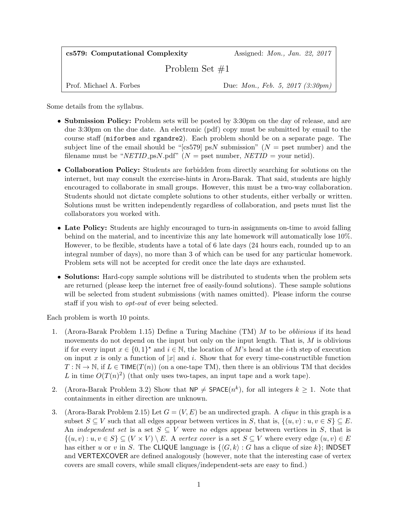| cs579: Computational Complexity | Assigned: <i>Mon.</i> , <i>Jan.</i> 22, 2017    |
|---------------------------------|-------------------------------------------------|
| Problem Set $\#1$               |                                                 |
| Prof. Michael A. Forbes         | Due: <i>Mon.</i> , <i>Feb.</i> 5, 2017 (3:30pm) |

Some details from the syllabus.

- Submission Policy: Problem sets will be posted by 3:30pm on the day of release, and are due 3:30pm on the due date. An electronic (pdf) copy must be submitted by email to the course staff (miforbes and rgandre2). Each problem should be on a separate page. The subject line of the email should be "[cs579] psN submission" ( $N =$  pset number) and the filename must be "NETID\_psN.pdf" ( $N =$  pset number, NETID = your netid).
- Collaboration Policy: Students are forbidden from directly searching for solutions on the internet, but may consult the exercise-hints in Arora-Barak. That said, students are highly encouraged to collaborate in small groups. However, this must be a two-way collaboration. Students should not dictate complete solutions to other students, either verbally or written. Solutions must be written independently regardless of collaboration, and psets must list the collaborators you worked with.
- Late Policy: Students are highly encouraged to turn-in assignments on-time to avoid falling behind on the material, and to incentivize this any late homework will automatically lose 10%. However, to be flexible, students have a total of 6 late days (24 hours each, rounded up to an integral number of days), no more than 3 of which can be used for any particular homework. Problem sets will not be accepted for credit once the late days are exhausted.
- Solutions: Hard-copy sample solutions will be distributed to students when the problem sets are returned (please keep the internet free of easily-found solutions). These sample solutions will be selected from student submissions (with names omitted). Please inform the course staff if you wish to opt-out of ever being selected.

Each problem is worth 10 points.

- 1. (Arora-Barak Problem 1.15) Define a Turing Machine (TM) M to be oblivious if its head movements do not depend on the input but only on the input length. That is, M is oblivious if for every input  $x \in \{0,1\}^*$  and  $i \in \mathbb{N}$ , the location of M's head at the *i*-th step of execution on input x is only a function of |x| and i. Show that for every time-constructible function  $T : \mathbb{N} \to \mathbb{N}$ , if  $L \in \mathsf{TIME}(T(n))$  (on a one-tape TM), then there is an oblivious TM that decides L in time  $O(T(n)^2)$  (that only uses two-tapes, an input tape and a work tape).
- 2. (Arora-Barak Problem 3.2) Show that  $NP \neq SPACE(n^k)$ , for all integers  $k \geq 1$ . Note that containments in either direction are unknown.
- 3. (Arora-Barak Problem 2.15) Let  $G = (V, E)$  be an undirected graph. A *clique* in this graph is a subset  $S \subseteq V$  such that all edges appear between vertices in S, that is,  $\{(u, v) : u, v \in S\} \subseteq E$ . An *independent set* is a set  $S \subseteq V$  were no edges appear between vertices in S, that is  $\{(u, v) : u, v \in S\} \subseteq (V \times V) \setminus E$ . A vertex cover is a set  $S \subseteq V$  where every edge  $(u, v) \in E$ has either u or v in S. The CLIQUE language is  $\{ \langle G, k \rangle : G$  has a clique of size k; INDSET and VERTEXCOVER are defined analogously (however, note that the interesting case of vertex covers are small covers, while small cliques/independent-sets are easy to find.)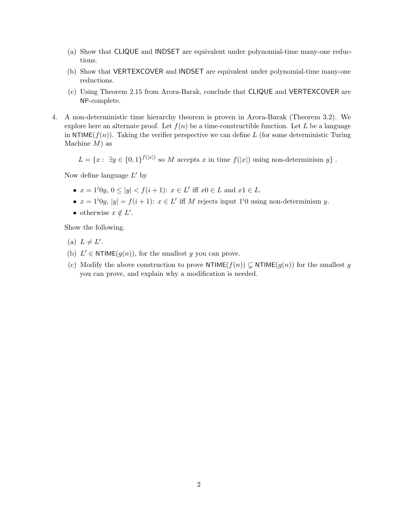- (a) Show that CLIQUE and INDSET are equivalent under polynomial-time many-one reductions.
- (b) Show that VERTEXCOVER and INDSET are equivalent under polynomial-time many-one reductions.
- (c) Using Theorem 2.15 from Arora-Barak, conclude that CLIQUE and VERTEXCOVER are NP-complete.
- 4. A non-deterministic time hierarchy theorem is proven in Arora-Barak (Theorem 3.2). We explore here an alternate proof. Let  $f(n)$  be a time-constructible function. Let L be a language in NTIME( $f(n)$ ). Taking the verifier perspective we can define L (for some deterministic Turing Machine  $M$ ) as

 $L = \{x : \exists y \in \{0,1\}^{f(|x|)} \text{ so } M \text{ accepts } x \text{ in time } f(|x|) \text{ using non-determinism } y\}.$ 

Now define language  $L'$  by

- $x = 1^i0y, 0 \le |y| < f(i+1)$ :  $x \in L'$  iff  $x0 \in L$  and  $x1 \in L$ .
- $x = 1^i0y$ ,  $|y| = f(i+1)$ :  $x \in L'$  iff M rejects input  $1^i0$  using non-determinism y.
- otherwise  $x \notin L'$ .

Show the following.

- (a)  $L \neq L'$ .
- (b)  $L' \in \text{NTIME}(g(n))$ , for the smallest g you can prove.
- (c) Modify the above construction to prove NTIME $(f(n)) \subsetneq$  NTIME $(g(n))$  for the smallest g you can prove, and explain why a modification is needed.